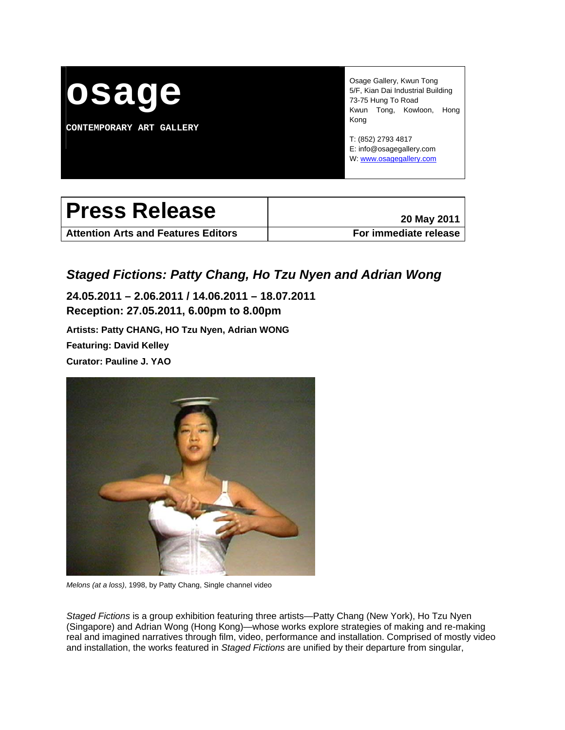

**CONTEMPORARY ART GALLERY** 

Osage Gallery, Kwun Tong 5/F, Kian Dai Industrial Building 73-75 Hung To Road Kwun Tong, Kowloon, Hong Kong

T: (852) 2793 4817 E: info@osagegallery.com W: [www.osagegallery.com](http://www.osagegallery.com/)

# Press Release **Press Release**

**Attention Arts and Features Editors For immediate release**

# *Staged Fictions: Patty Chang, Ho Tzu Nyen and Adrian Wong*

**24.05.2011 – 2.06.2011 / 14.06.2011 – 18.07.2011 Reception: 27.05.2011, 6.00pm to 8.00pm** 

**Artists: Patty CHANG, HO Tzu Nyen, Adrian WONG Featuring: David Kelley Curator: Pauline J. YAO** 



*Melons (at a loss)*, 1998, by Patty Chang, Single channel video

*Staged Fictions* is a group exhibition featuring three artists—Patty Chang (New York), Ho Tzu Nyen (Singapore) and Adrian Wong (Hong Kong)—whose works explore strategies of making and re-making real and imagined narratives through film, video, performance and installation. Comprised of mostly video and installation, the works featured in *Staged Fictions* are unified by their departure from singular,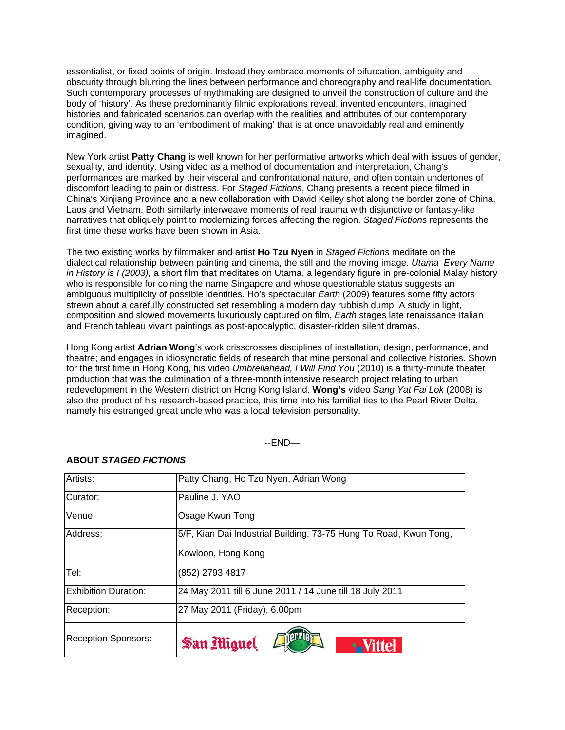essentialist, or fixed points of origin. Instead they embrace moments of bifurcation, ambiguity and obscurity through blurring the lines between performance and choreography and real-life documentation. Such contemporary processes of mythmaking are designed to unveil the construction of culture and the body of 'history'. As these predominantly filmic explorations reveal, invented encounters, imagined histories and fabricated scenarios can overlap with the realities and attributes of our contemporary condition, giving way to an 'embodiment of making' that is at once unavoidably real and eminently imagined.

New York artist **Patty Chang** is well known for her performative artworks which deal with issues of gender, sexuality, and identity. Using video as a method of documentation and interpretation, Chang's performances are marked by their visceral and confrontational nature, and often contain undertones of discomfort leading to pain or distress. For *Staged Fictions*, Chang presents a recent piece filmed in China's Xinjiang Province and a new collaboration with David Kelley shot along the border zone of China, Laos and Vietnam. Both similarly interweave moments of real trauma with disjunctive or fantasty-like narratives that obliquely point to modernizing forces affecting the region. *Staged Fictions* represents the first time these works have been shown in Asia.

The two existing works by filmmaker and artist **Ho Tzu Nyen** in *Staged Fictions* meditate on the dialectical relationship between painting and cinema, the still and the moving image. *Utama Every Name in History is I (2003),* a short film that meditates on Utama, a legendary figure in pre-colonial Malay history who is responsible for coining the name Singapore and whose questionable status suggests an ambiguous multiplicity of possible identities. Ho's spectacular *Earth* (2009) features some fifty actors strewn about a carefully constructed set resembling a modern day rubbish dump. A study in light, composition and slowed movements luxuriously captured on film, *Earth* stages late renaissance Italian and French tableau vivant paintings as post-apocalyptic, disaster-ridden silent dramas.

Hong Kong artist **Adrian Wong**'s work crisscrosses disciplines of installation, design, performance, and theatre; and engages in idiosyncratic fields of research that mine personal and collective histories. Shown for the first time in Hong Kong, his video *Umbrellahead, I Will Find You* (2010) is a thirty-minute theater production that was the culmination of a three-month intensive research project relating to urban redevelopment in the Western district on Hong Kong Island. **Wong's** video *Sang Yat Fai Lok* (2008) is also the product of his research-based practice, this time into his familial ties to the Pearl River Delta, namely his estranged great uncle who was a local television personality.

#### --END—

| Artists:                   | Patty Chang, Ho Tzu Nyen, Adrian Wong                             |
|----------------------------|-------------------------------------------------------------------|
| Curator:                   | Pauline J. YAO                                                    |
| Venue:                     | Osage Kwun Tong                                                   |
| Address:                   | 5/F, Kian Dai Industrial Building, 73-75 Hung To Road, Kwun Tong, |
|                            | Kowloon, Hong Kong                                                |
| Tel:                       | (852) 2793 4817                                                   |
| Exhibition Duration:       | 24 May 2011 till 6 June 2011 / 14 June till 18 July 2011          |
| Reception:                 | 27 May 2011 (Friday), 6.00pm                                      |
| <b>Reception Sponsors:</b> | San Miguel                                                        |

#### **ABOUT** *STAGED FICTIONS*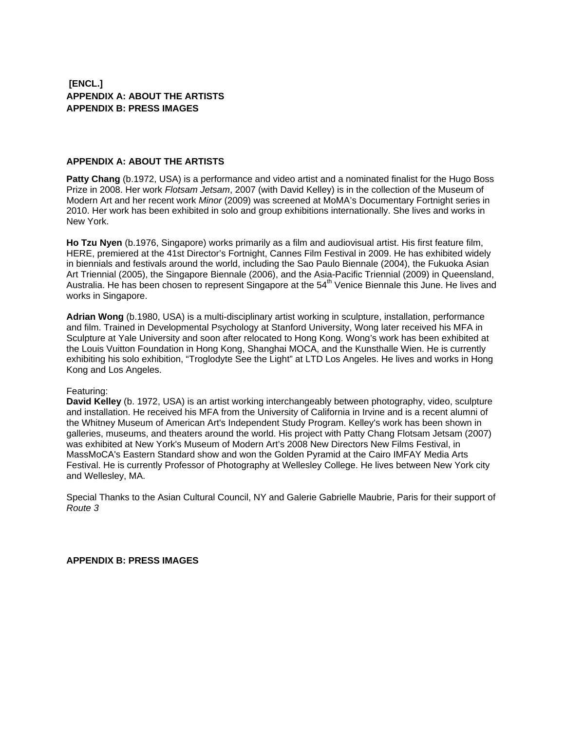# **[ENCL.] APPENDIX A: ABOUT THE ARTISTS APPENDIX B: PRESS IMAGES**

#### **APPENDIX A: ABOUT THE ARTISTS**

**Patty Chang** (b.1972, USA) is a performance and video artist and a nominated finalist for the Hugo Boss Prize in 2008. Her work *Flotsam Jetsam*, 2007 (with David Kelley) is in the collection of the Museum of Modern Art and her recent work *Minor* (2009) was screened at MoMA's Documentary Fortnight series in 2010. Her work has been exhibited in solo and group exhibitions internationally. She lives and works in New York.

**Ho Tzu Nyen** (b.1976, Singapore) works primarily as a film and audiovisual artist. His first feature film, HERE, premiered at the 41st Director's Fortnight, Cannes Film Festival in 2009. He has exhibited widely in biennials and festivals around the world, including the Sao Paulo Biennale (2004), the Fukuoka Asian Art Triennial (2005), the Singapore Biennale (2006), and the Asia-Pacific Triennial (2009) in Queensland, Australia. He has been chosen to represent Singapore at the 54<sup>th</sup> Venice Biennale this June. He lives and works in Singapore.

**Adrian Wong** (b.1980, USA) is a multi-disciplinary artist working in sculpture, installation, performance and film. Trained in Developmental Psychology at Stanford University, Wong later received his MFA in Sculpture at Yale University and soon after relocated to Hong Kong. Wong's work has been exhibited at the Louis Vuitton Foundation in Hong Kong, Shanghai MOCA, and the Kunsthalle Wien. He is currently exhibiting his solo exhibition, "Troglodyte See the Light" at LTD Los Angeles. He lives and works in Hong Kong and Los Angeles.

#### Featuring:

**David Kelley** (b. 1972, USA) is an artist working interchangeably between photography, video, sculpture and installation. He received his MFA from the University of California in Irvine and is a recent alumni of the Whitney Museum of American Art's Independent Study Program. Kelley's work has been shown in galleries, museums, and theaters around the world. His project with Patty Chang Flotsam Jetsam (2007) was exhibited at New York's Museum of Modern Art's 2008 New Directors New Films Festival, in MassMoCA's Eastern Standard show and won the Golden Pyramid at the Cairo IMFAY Media Arts Festival. He is currently Professor of Photography at Wellesley College. He lives between New York city and Wellesley, MA.

Special Thanks to the Asian Cultural Council, NY and Galerie Gabrielle Maubrie, Paris for their support of *Route 3* 

**APPENDIX B: PRESS IMAGES**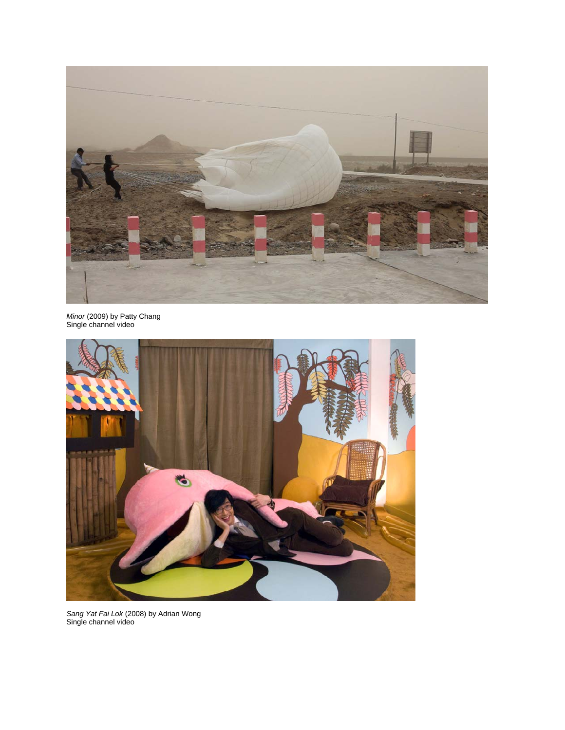

*Minor* (2009) by Patty Chang Single channel video



*Sang Yat Fai Lok* (2008) by Adrian Wong Single channel video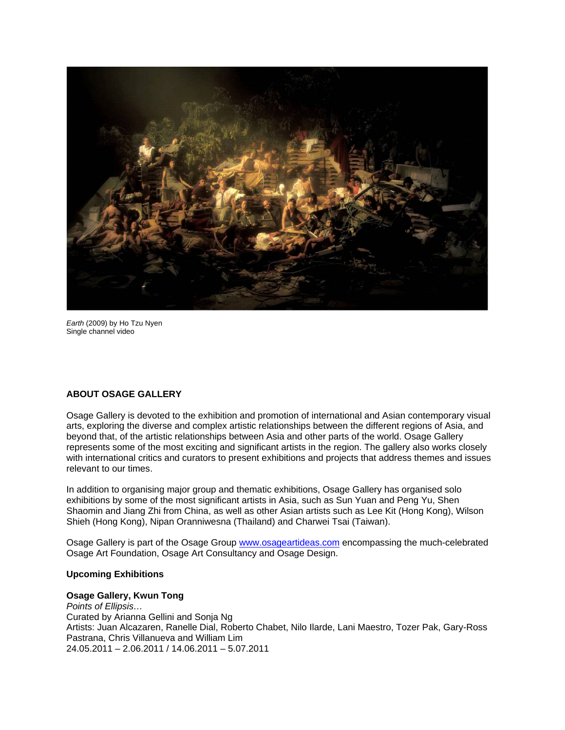

*Earth* (2009) by Ho Tzu Nyen Single channel video

#### **ABOUT OSAGE GALLERY**

Osage Gallery is devoted to the exhibition and promotion of international and Asian contemporary visual arts, exploring the diverse and complex artistic relationships between the different regions of Asia, and beyond that, of the artistic relationships between Asia and other parts of the world. Osage Gallery represents some of the most exciting and significant artists in the region. The gallery also works closely with international critics and curators to present exhibitions and projects that address themes and issues relevant to our times.

In addition to organising major group and thematic exhibitions, Osage Gallery has organised solo exhibitions by some of the most significant artists in Asia, such as Sun Yuan and Peng Yu, Shen Shaomin and Jiang Zhi from China, as well as other Asian artists such as Lee Kit (Hong Kong), Wilson Shieh (Hong Kong), Nipan Oranniwesna (Thailand) and Charwei Tsai (Taiwan).

Osage Gallery is part of the Osage Group [www.osageartideas.com](http://www.osageartideas.com/) encompassing the much-celebrated Osage Art Foundation, Osage Art Consultancy and Osage Design.

#### **Upcoming Exhibitions**

#### **Osage Gallery, Kwun Tong**

*Points of Ellipsis…*  Curated by Arianna Gellini and Sonja Ng Artists: Juan Alcazaren, Ranelle Dial, Roberto Chabet, Nilo Ilarde, Lani Maestro, Tozer Pak, Gary-Ross Pastrana, Chris Villanueva and William Lim 24.05.2011 – 2.06.2011 / 14.06.2011 – 5.07.2011